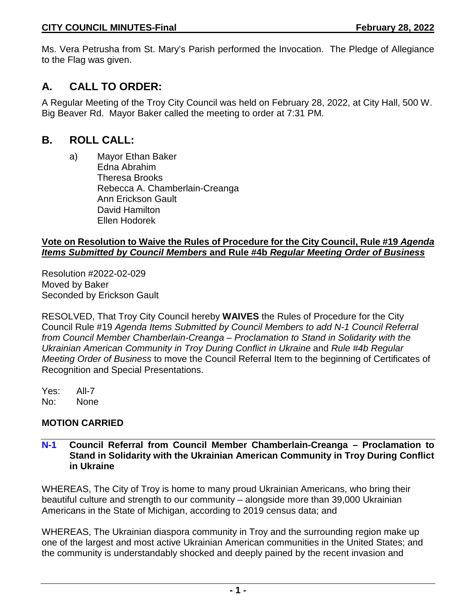Ms. Vera Petrusha from St. Mary's Parish performed the Invocation. The Pledge of Allegiance to the Flag was given.

# **A. CALL TO ORDER:**

A Regular Meeting of the Troy City Council was held on February 28, 2022, at City Hall, 500 W. Big Beaver Rd. Mayor Baker called the meeting to order at 7:31 PM.

# **B. ROLL CALL:**

a) Mayor Ethan Baker Edna Abrahim Theresa Brooks Rebecca A. Chamberlain-Creanga Ann Erickson Gault David Hamilton Ellen Hodorek

## **Vote on Resolution to Waive the Rules of Procedure for the City Council, Rule #19** *Agenda Items Submitted by Council Members* **and Rule #4b** *Regular Meeting Order of Business*

Resolution #2022-02-029 Moved by Baker Seconded by Erickson Gault

RESOLVED, That Troy City Council hereby **WAIVES** the Rules of Procedure for the City Council Rule #19 *Agenda Items Submitted by Council Members to add N-1 Council Referral from Council Member Chamberlain-Creanga – Proclamation to Stand in Solidarity with the Ukrainian American Community in Troy During Conflict in Ukraine and Rule #4b Regular Meeting Order of Business* to move the Council Referral Item to the beginning of Certificates of Recognition and Special Presentations.

Yes: All-7 No: None

# **MOTION CARRIED**

### **N-1 Council Referral from Council Member Chamberlain-Creanga – Proclamation to Stand in Solidarity with the Ukrainian American Community in Troy During Conflict in Ukraine**

WHEREAS, The City of Troy is home to many proud Ukrainian Americans, who bring their beautiful culture and strength to our community – alongside more than 39,000 Ukrainian Americans in the State of Michigan, according to 2019 census data; and

WHEREAS, The Ukrainian diaspora community in Troy and the surrounding region make up one of the largest and most active Ukrainian American communities in the United States; and the community is understandably shocked and deeply pained by the recent invasion and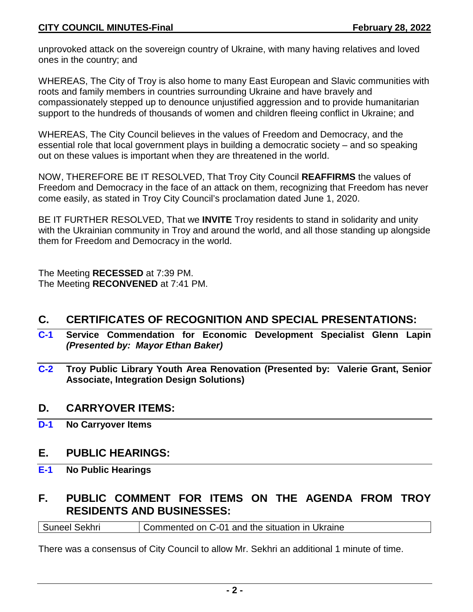unprovoked attack on the sovereign country of Ukraine, with many having relatives and loved ones in the country; and

WHEREAS, The City of Troy is also home to many East European and Slavic communities with roots and family members in countries surrounding Ukraine and have bravely and compassionately stepped up to denounce unjustified aggression and to provide humanitarian support to the hundreds of thousands of women and children fleeing conflict in Ukraine; and

WHEREAS, The City Council believes in the values of Freedom and Democracy, and the essential role that local government plays in building a democratic society – and so speaking out on these values is important when they are threatened in the world.

NOW, THEREFORE BE IT RESOLVED, That Troy City Council **REAFFIRMS** the values of Freedom and Democracy in the face of an attack on them, recognizing that Freedom has never come easily, as stated in Troy City Council's proclamation dated June 1, 2020.

BE IT FURTHER RESOLVED, That we **INVITE** Troy residents to stand in solidarity and unity with the Ukrainian community in Troy and around the world, and all those standing up alongside them for Freedom and Democracy in the world.

The Meeting **RECESSED** at 7:39 PM. The Meeting **RECONVENED** at 7:41 PM.

# **C. CERTIFICATES OF RECOGNITION AND SPECIAL PRESENTATIONS:**

- **C-1 Service Commendation for Economic Development Specialist Glenn Lapin** *(Presented by: Mayor Ethan Baker)*
- **C-2 Troy Public Library Youth Area Renovation (Presented by: Valerie Grant, Senior Associate, Integration Design Solutions)**

# **D. CARRYOVER ITEMS:**

**D-1 No Carryover Items**

# **E. PUBLIC HEARINGS:**

**E-1 No Public Hearings**

# **F. PUBLIC COMMENT FOR ITEMS ON THE AGENDA FROM TROY RESIDENTS AND BUSINESSES:**

Suneel Sekhri **Commented on C-01** and the situation in Ukraine

There was a consensus of City Council to allow Mr. Sekhri an additional 1 minute of time.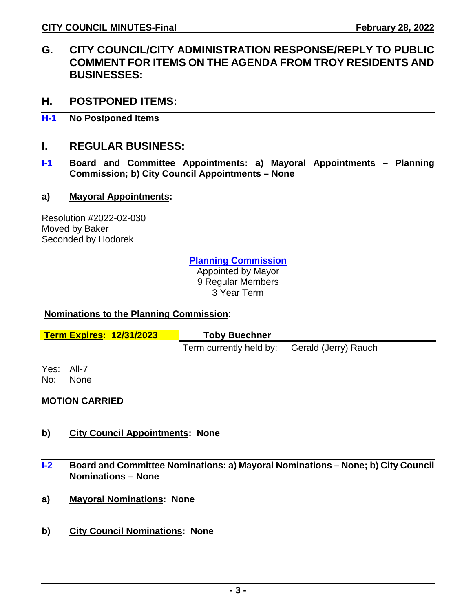- **G. CITY COUNCIL/CITY ADMINISTRATION RESPONSE/REPLY TO PUBLIC COMMENT FOR ITEMS ON THE AGENDA FROM TROY RESIDENTS AND BUSINESSES:**
- **H. POSTPONED ITEMS:**
- **H-1 No Postponed Items**

# **I. REGULAR BUSINESS:**

**I-1 Board and Committee Appointments: a) Mayoral Appointments – Planning Commission; b) City Council Appointments – None**

### **a) Mayoral Appointments:**

Resolution #2022-02-030 Moved by Baker Seconded by Hodorek

**Planning Commission**

Appointed by Mayor 9 Regular Members 3 Year Term

### **Nominations to the Planning Commission**:

|     | <b>Term Expires: 12/31/2023</b> | <b>Toby Buechner</b>                         |  |
|-----|---------------------------------|----------------------------------------------|--|
|     |                                 | Term currently held by: Gerald (Jerry) Rauch |  |
| No: | Yes: All-7<br><b>None</b>       |                                              |  |

### **MOTION CARRIED**

- **b) City Council Appointments: None**
- **I-2 Board and Committee Nominations: a) Mayoral Nominations – None; b) City Council Nominations – None**
- **a) Mayoral Nominations: None**
- **b) City Council Nominations: None**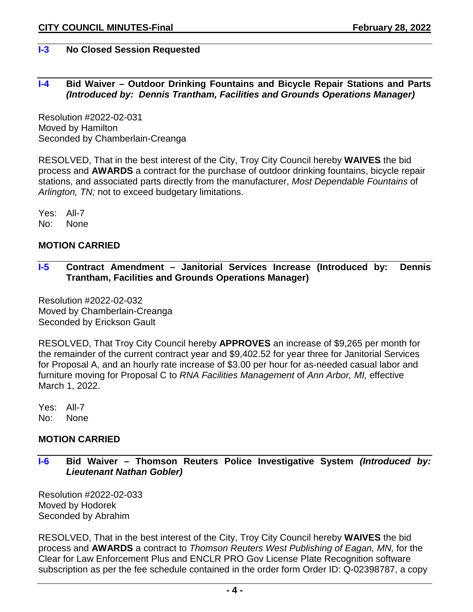## **I-3 No Closed Session Requested**

### **I-4 Bid Waiver – Outdoor Drinking Fountains and Bicycle Repair Stations and Parts** *(Introduced by: Dennis Trantham, Facilities and Grounds Operations Manager)*

Resolution #2022-02-031 Moved by Hamilton Seconded by Chamberlain-Creanga

RESOLVED, That in the best interest of the City, Troy City Council hereby **WAIVES** the bid process and **AWARDS** a contract for the purchase of outdoor drinking fountains, bicycle repair stations, and associated parts directly from the manufacturer, *Most Dependable Fountains* of *Arlington, TN;* not to exceed budgetary limitations.

Yes: All-7 No: None

### **MOTION CARRIED**

**I-5 Contract Amendment – Janitorial Services Increase (Introduced by: Dennis Trantham, Facilities and Grounds Operations Manager)** 

Resolution #2022-02-032 Moved by Chamberlain-Creanga Seconded by Erickson Gault

RESOLVED, That Troy City Council hereby **APPROVES** an increase of \$9,265 per month for the remainder of the current contract year and \$9,402.52 for year three for Janitorial Services for Proposal A, and an hourly rate increase of \$3.00 per hour for as-needed casual labor and furniture moving for Proposal C to *RNA Facilities Management* of *Ann Arbor, MI,* effective March 1, 2022.

Yes: All-7 No: None

### **MOTION CARRIED**

**I-6 Bid Waiver – Thomson Reuters Police Investigative System** *(Introduced by: Lieutenant Nathan Gobler)* 

Resolution #2022-02-033 Moved by Hodorek Seconded by Abrahim

RESOLVED, That in the best interest of the City, Troy City Council hereby **WAIVES** the bid process and **AWARDS** a contract to *Thomson Reuters West Publishing of Eagan, MN,* for the Clear for Law Enforcement Plus and ENCLR PRO Gov License Plate Recognition software subscription as per the fee schedule contained in the order form Order ID: Q-02398787, a copy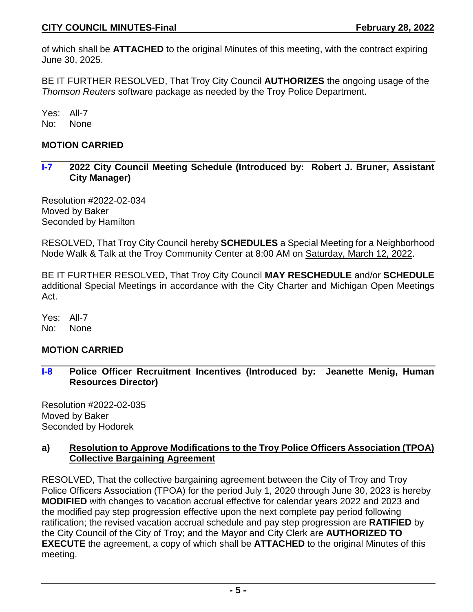of which shall be **ATTACHED** to the original Minutes of this meeting, with the contract expiring June 30, 2025.

BE IT FURTHER RESOLVED, That Troy City Council **AUTHORIZES** the ongoing usage of the *Thomson Reuters* software package as needed by the Troy Police Department.

Yes: All-7 No: None

# **MOTION CARRIED**

**I-7 2022 City Council Meeting Schedule (Introduced by: Robert J. Bruner, Assistant City Manager)** 

Resolution #2022-02-034 Moved by Baker Seconded by Hamilton

RESOLVED, That Troy City Council hereby **SCHEDULES** a Special Meeting for a Neighborhood Node Walk & Talk at the Troy Community Center at 8:00 AM on Saturday, March 12, 2022.

BE IT FURTHER RESOLVED, That Troy City Council **MAY RESCHEDULE** and/or **SCHEDULE** additional Special Meetings in accordance with the City Charter and Michigan Open Meetings Act.

Yes: All-7 No: None

# **MOTION CARRIED**

**I-8 Police Officer Recruitment Incentives (Introduced by: Jeanette Menig, Human Resources Director)** 

Resolution #2022-02-035 Moved by Baker Seconded by Hodorek

### **a) Resolution to Approve Modifications to the Troy Police Officers Association (TPOA) Collective Bargaining Agreement**

RESOLVED, That the collective bargaining agreement between the City of Troy and Troy Police Officers Association (TPOA) for the period July 1, 2020 through June 30, 2023 is hereby **MODIFIED** with changes to vacation accrual effective for calendar years 2022 and 2023 and the modified pay step progression effective upon the next complete pay period following ratification; the revised vacation accrual schedule and pay step progression are **RATIFIED** by the City Council of the City of Troy; and the Mayor and City Clerk are **AUTHORIZED TO EXECUTE** the agreement, a copy of which shall be **ATTACHED** to the original Minutes of this meeting.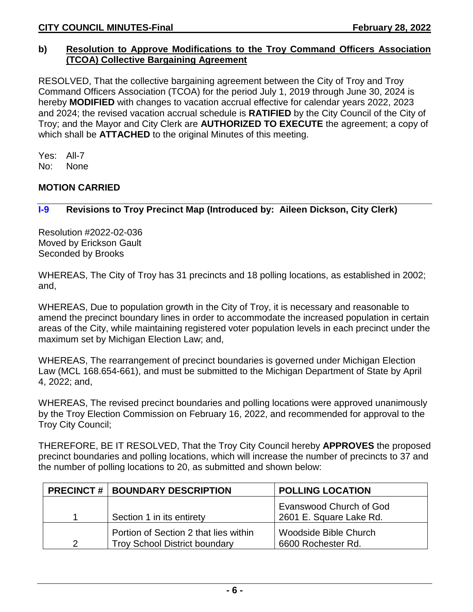### **b) Resolution to Approve Modifications to the Troy Command Officers Association (TCOA) Collective Bargaining Agreement**

RESOLVED, That the collective bargaining agreement between the City of Troy and Troy Command Officers Association (TCOA) for the period July 1, 2019 through June 30, 2024 is hereby **MODIFIED** with changes to vacation accrual effective for calendar years 2022, 2023 and 2024; the revised vacation accrual schedule is **RATIFIED** by the City Council of the City of Troy; and the Mayor and City Clerk are **AUTHORIZED TO EXECUTE** the agreement; a copy of which shall be **ATTACHED** to the original Minutes of this meeting.

Yes: All-7 No: None

# **MOTION CARRIED**

# **I-9 Revisions to Troy Precinct Map (Introduced by: Aileen Dickson, City Clerk)**

Resolution #2022-02-036 Moved by Erickson Gault Seconded by Brooks

WHEREAS, The City of Troy has 31 precincts and 18 polling locations, as established in 2002; and,

WHEREAS, Due to population growth in the City of Troy, it is necessary and reasonable to amend the precinct boundary lines in order to accommodate the increased population in certain areas of the City, while maintaining registered voter population levels in each precinct under the maximum set by Michigan Election Law; and,

WHEREAS, The rearrangement of precinct boundaries is governed under Michigan Election Law (MCL 168.654-661), and must be submitted to the Michigan Department of State by April 4, 2022; and,

WHEREAS, The revised precinct boundaries and polling locations were approved unanimously by the Troy Election Commission on February 16, 2022, and recommended for approval to the Troy City Council;

THEREFORE, BE IT RESOLVED, That the Troy City Council hereby **APPROVES** the proposed precinct boundaries and polling locations, which will increase the number of precincts to 37 and the number of polling locations to 20, as submitted and shown below:

|               | <b>PRECINCT #   BOUNDARY DESCRIPTION</b>                                      | <b>POLLING LOCATION</b>                            |
|---------------|-------------------------------------------------------------------------------|----------------------------------------------------|
|               | Section 1 in its entirety                                                     | Evanswood Church of God<br>2601 E. Square Lake Rd. |
| $\mathcal{P}$ | Portion of Section 2 that lies within<br><b>Troy School District boundary</b> | Woodside Bible Church<br>6600 Rochester Rd.        |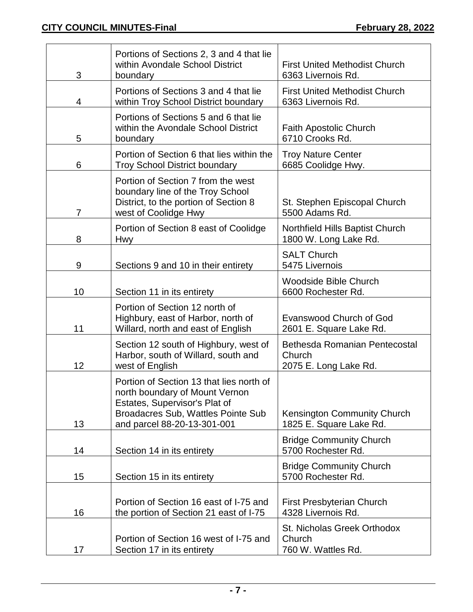| 3  | Portions of Sections 2, 3 and 4 that lie<br>within Avondale School District<br>boundary                                                                                          | <b>First United Methodist Church</b><br>6363 Livernois Rd.       |
|----|----------------------------------------------------------------------------------------------------------------------------------------------------------------------------------|------------------------------------------------------------------|
| 4  | Portions of Sections 3 and 4 that lie<br>within Troy School District boundary                                                                                                    | <b>First United Methodist Church</b><br>6363 Livernois Rd.       |
| 5  | Portions of Sections 5 and 6 that lie<br>within the Avondale School District<br>boundary                                                                                         | <b>Faith Apostolic Church</b><br>6710 Crooks Rd.                 |
| 6  | Portion of Section 6 that lies within the<br><b>Troy School District boundary</b>                                                                                                | <b>Troy Nature Center</b><br>6685 Coolidge Hwy.                  |
| 7  | Portion of Section 7 from the west<br>boundary line of the Troy School<br>District, to the portion of Section 8<br>west of Coolidge Hwy                                          | St. Stephen Episcopal Church<br>5500 Adams Rd.                   |
| 8  | Portion of Section 8 east of Coolidge<br><b>Hwy</b>                                                                                                                              | Northfield Hills Baptist Church<br>1800 W. Long Lake Rd.         |
| 9  | Sections 9 and 10 in their entirety                                                                                                                                              | <b>SALT Church</b><br>5475 Livernois                             |
| 10 | Section 11 in its entirety                                                                                                                                                       | <b>Woodside Bible Church</b><br>6600 Rochester Rd.               |
| 11 | Portion of Section 12 north of<br>Highbury, east of Harbor, north of<br>Willard, north and east of English                                                                       | <b>Evanswood Church of God</b><br>2601 E. Square Lake Rd.        |
| 12 | Section 12 south of Highbury, west of<br>Harbor, south of Willard, south and<br>west of English                                                                                  | Bethesda Romanian Pentecostal<br>Church<br>2075 E. Long Lake Rd. |
| 13 | Portion of Section 13 that lies north of<br>north boundary of Mount Vernon<br>Estates, Supervisor's Plat of<br>Broadacres Sub, Wattles Pointe Sub<br>and parcel 88-20-13-301-001 | Kensington Community Church<br>1825 E. Square Lake Rd.           |
| 14 | Section 14 in its entirety                                                                                                                                                       | <b>Bridge Community Church</b><br>5700 Rochester Rd.             |
| 15 | Section 15 in its entirety                                                                                                                                                       | <b>Bridge Community Church</b><br>5700 Rochester Rd.             |
| 16 | Portion of Section 16 east of I-75 and<br>the portion of Section 21 east of I-75                                                                                                 | First Presbyterian Church<br>4328 Livernois Rd.                  |
| 17 | Portion of Section 16 west of I-75 and<br>Section 17 in its entirety                                                                                                             | St. Nicholas Greek Orthodox<br>Church<br>760 W. Wattles Rd.      |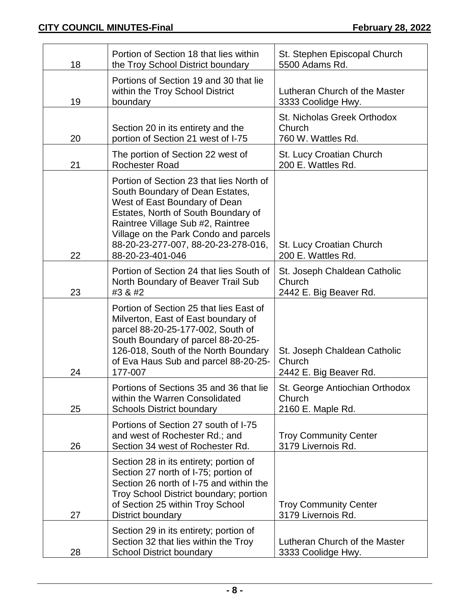| 18 | Portion of Section 18 that lies within<br>the Troy School District boundary                                                                                                                                                                                                                  | St. Stephen Episcopal Church<br>5500 Adams Rd.                   |
|----|----------------------------------------------------------------------------------------------------------------------------------------------------------------------------------------------------------------------------------------------------------------------------------------------|------------------------------------------------------------------|
| 19 | Portions of Section 19 and 30 that lie<br>within the Troy School District<br>boundary                                                                                                                                                                                                        | Lutheran Church of the Master<br>3333 Coolidge Hwy.              |
| 20 | Section 20 in its entirety and the<br>portion of Section 21 west of I-75                                                                                                                                                                                                                     | St. Nicholas Greek Orthodox<br>Church<br>760 W. Wattles Rd.      |
| 21 | The portion of Section 22 west of<br><b>Rochester Road</b>                                                                                                                                                                                                                                   | St. Lucy Croatian Church<br>200 E. Wattles Rd.                   |
| 22 | Portion of Section 23 that lies North of<br>South Boundary of Dean Estates,<br>West of East Boundary of Dean<br>Estates, North of South Boundary of<br>Raintree Village Sub #2, Raintree<br>Village on the Park Condo and parcels<br>88-20-23-277-007, 88-20-23-278-016,<br>88-20-23-401-046 | <b>St. Lucy Croatian Church</b><br>200 E. Wattles Rd.            |
| 23 | Portion of Section 24 that lies South of<br>North Boundary of Beaver Trail Sub<br>#3 & #2                                                                                                                                                                                                    | St. Joseph Chaldean Catholic<br>Church<br>2442 E. Big Beaver Rd. |
| 24 | Portion of Section 25 that lies East of<br>Milverton, East of East boundary of<br>parcel 88-20-25-177-002, South of<br>South Boundary of parcel 88-20-25-<br>126-018, South of the North Boundary<br>of Eva Haus Sub and parcel 88-20-25-<br>177-007                                         | St. Joseph Chaldean Catholic<br>Church<br>2442 E. Big Beaver Rd. |
| 25 | Portions of Sections 35 and 36 that lie<br>within the Warren Consolidated<br><b>Schools District boundary</b>                                                                                                                                                                                | St. George Antiochian Orthodox<br>Church<br>2160 E. Maple Rd.    |
| 26 | Portions of Section 27 south of I-75<br>and west of Rochester Rd.; and<br>Section 34 west of Rochester Rd.                                                                                                                                                                                   | <b>Troy Community Center</b><br>3179 Livernois Rd.               |
| 27 | Section 28 in its entirety; portion of<br>Section 27 north of I-75; portion of<br>Section 26 north of I-75 and within the<br>Troy School District boundary; portion<br>of Section 25 within Troy School<br>District boundary                                                                 | <b>Troy Community Center</b><br>3179 Livernois Rd.               |
| 28 | Section 29 in its entirety; portion of<br>Section 32 that lies within the Troy<br><b>School District boundary</b>                                                                                                                                                                            | Lutheran Church of the Master<br>3333 Coolidge Hwy.              |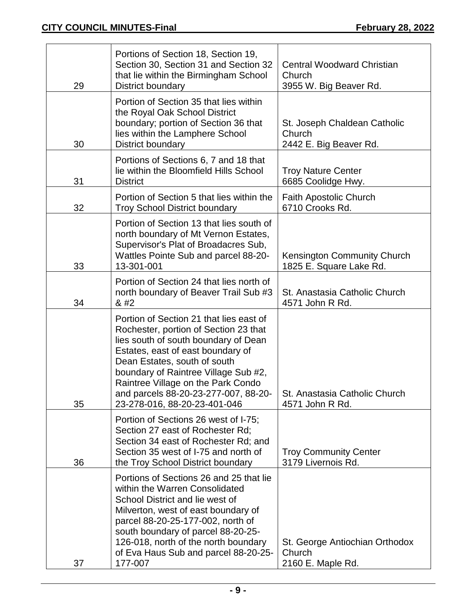| 29 | Portions of Section 18, Section 19,<br>Section 30, Section 31 and Section 32<br>that lie within the Birmingham School<br>District boundary                                                                                                                                                                                                          | <b>Central Woodward Christian</b><br>Church<br>3955 W. Big Beaver Rd. |
|----|-----------------------------------------------------------------------------------------------------------------------------------------------------------------------------------------------------------------------------------------------------------------------------------------------------------------------------------------------------|-----------------------------------------------------------------------|
| 30 | Portion of Section 35 that lies within<br>the Royal Oak School District<br>boundary; portion of Section 36 that<br>lies within the Lamphere School<br>District boundary                                                                                                                                                                             | St. Joseph Chaldean Catholic<br>Church<br>2442 E. Big Beaver Rd.      |
| 31 | Portions of Sections 6, 7 and 18 that<br>lie within the Bloomfield Hills School<br><b>District</b>                                                                                                                                                                                                                                                  | <b>Troy Nature Center</b><br>6685 Coolidge Hwy.                       |
| 32 | Portion of Section 5 that lies within the<br><b>Troy School District boundary</b>                                                                                                                                                                                                                                                                   | <b>Faith Apostolic Church</b><br>6710 Crooks Rd.                      |
| 33 | Portion of Section 13 that lies south of<br>north boundary of Mt Vernon Estates,<br>Supervisor's Plat of Broadacres Sub,<br>Wattles Pointe Sub and parcel 88-20-<br>13-301-001                                                                                                                                                                      | Kensington Community Church<br>1825 E. Square Lake Rd.                |
| 34 | Portion of Section 24 that lies north of<br>north boundary of Beaver Trail Sub #3<br>8#2                                                                                                                                                                                                                                                            | St. Anastasia Catholic Church<br>4571 John R Rd.                      |
| 35 | Portion of Section 21 that lies east of<br>Rochester, portion of Section 23 that<br>lies south of south boundary of Dean<br>Estates, east of east boundary of<br>Dean Estates, south of south<br>boundary of Raintree Village Sub #2,<br>Raintree Village on the Park Condo<br>and parcels 88-20-23-277-007, 88-20-<br>23-278-016, 88-20-23-401-046 | St. Anastasia Catholic Church<br>4571 John R Rd.                      |
| 36 | Portion of Sections 26 west of I-75;<br>Section 27 east of Rochester Rd:<br>Section 34 east of Rochester Rd; and<br>Section 35 west of I-75 and north of<br>the Troy School District boundary                                                                                                                                                       | <b>Troy Community Center</b><br>3179 Livernois Rd.                    |
| 37 | Portions of Sections 26 and 25 that lie<br>within the Warren Consolidated<br>School District and lie west of<br>Milverton, west of east boundary of<br>parcel 88-20-25-177-002, north of<br>south boundary of parcel 88-20-25-<br>126-018, north of the north boundary<br>of Eva Haus Sub and parcel 88-20-25-<br>177-007                           | St. George Antiochian Orthodox<br>Church<br>2160 E. Maple Rd.         |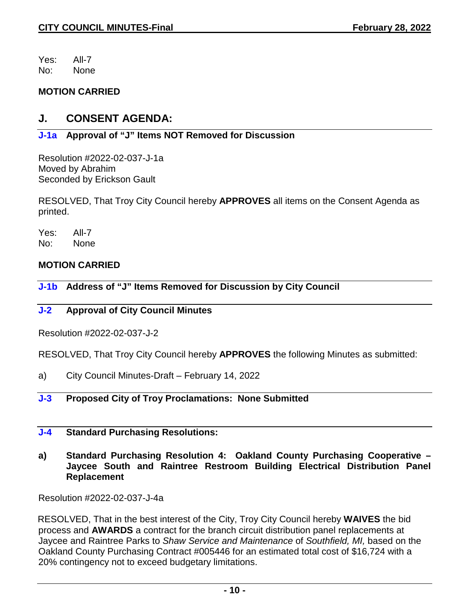Yes: All-7 No: None

## **MOTION CARRIED**

# **J. CONSENT AGENDA:**

# **J-1a Approval of "J" Items NOT Removed for Discussion**

Resolution #2022-02-037-J-1a Moved by Abrahim Seconded by Erickson Gault

RESOLVED, That Troy City Council hereby **APPROVES** all items on the Consent Agenda as printed.

Yes: All-7 No: None

## **MOTION CARRIED**

**J-1b Address of "J" Items Removed for Discussion by City Council** 

## **J-2 Approval of City Council Minutes**

Resolution #2022-02-037-J-2

RESOLVED, That Troy City Council hereby **APPROVES** the following Minutes as submitted:

a) City Council Minutes-Draft – February 14, 2022

# **J-3 Proposed City of Troy Proclamations: None Submitted**

### **J-4 Standard Purchasing Resolutions:**

**a) Standard Purchasing Resolution 4: Oakland County Purchasing Cooperative – Jaycee South and Raintree Restroom Building Electrical Distribution Panel Replacement**

Resolution #2022-02-037-J-4a

RESOLVED, That in the best interest of the City, Troy City Council hereby **WAIVES** the bid process and **AWARDS** a contract for the branch circuit distribution panel replacements at Jaycee and Raintree Parks to *Shaw Service and Maintenance* of *Southfield, MI,* based on the Oakland County Purchasing Contract #005446 for an estimated total cost of \$16,724 with a 20% contingency not to exceed budgetary limitations.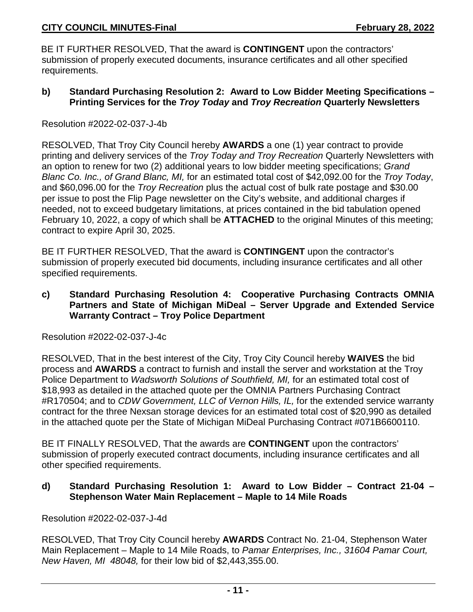BE IT FURTHER RESOLVED, That the award is **CONTINGENT** upon the contractors' submission of properly executed documents, insurance certificates and all other specified requirements.

**b) Standard Purchasing Resolution 2: Award to Low Bidder Meeting Specifications – Printing Services for the** *Troy Today* **and** *Troy Recreation* **Quarterly Newsletters**

Resolution #2022-02-037-J-4b

RESOLVED, That Troy City Council hereby **AWARDS** a one (1) year contract to provide printing and delivery services of the *Troy Today and Troy Recreation* Quarterly Newsletters with an option to renew for two (2) additional years to low bidder meeting specifications; *Grand Blanc Co. Inc., of Grand Blanc, MI,* for an estimated total cost of \$42,092.00 for the *Troy Today*, and \$60,096.00 for the *Troy Recreation* plus the actual cost of bulk rate postage and \$30.00 per issue to post the Flip Page newsletter on the City's website, and additional charges if needed, not to exceed budgetary limitations, at prices contained in the bid tabulation opened February 10, 2022, a copy of which shall be **ATTACHED** to the original Minutes of this meeting; contract to expire April 30, 2025.

BE IT FURTHER RESOLVED, That the award is **CONTINGENT** upon the contractor's submission of properly executed bid documents, including insurance certificates and all other specified requirements.

**c) Standard Purchasing Resolution 4: Cooperative Purchasing Contracts OMNIA Partners and State of Michigan MiDeal – Server Upgrade and Extended Service Warranty Contract – Troy Police Department**

Resolution #2022-02-037-J-4c

RESOLVED, That in the best interest of the City, Troy City Council hereby **WAIVES** the bid process and **AWARDS** a contract to furnish and install the server and workstation at the Troy Police Department to *Wadsworth Solutions of Southfield, MI,* for an estimated total cost of \$18,993 as detailed in the attached quote per the OMNIA Partners Purchasing Contract #R170504; and to *CDW Government, LLC of Vernon Hills, IL,* for the extended service warranty contract for the three Nexsan storage devices for an estimated total cost of \$20,990 as detailed in the attached quote per the State of Michigan MiDeal Purchasing Contract #071B6600110.

BE IT FINALLY RESOLVED, That the awards are **CONTINGENT** upon the contractors' submission of properly executed contract documents, including insurance certificates and all other specified requirements.

### **d) Standard Purchasing Resolution 1: Award to Low Bidder – Contract 21-04 – Stephenson Water Main Replacement – Maple to 14 Mile Roads**

Resolution #2022-02-037-J-4d

RESOLVED, That Troy City Council hereby **AWARDS** Contract No. 21-04, Stephenson Water Main Replacement – Maple to 14 Mile Roads, to *Pamar Enterprises, Inc., 31604 Pamar Court, New Haven, MI 48048,* for their low bid of \$2,443,355.00.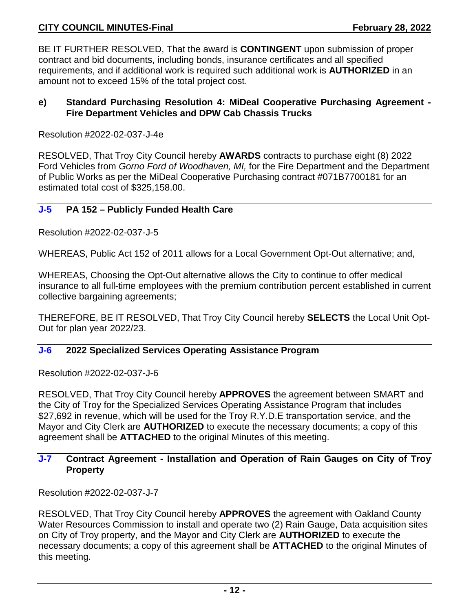BE IT FURTHER RESOLVED, That the award is **CONTINGENT** upon submission of proper contract and bid documents, including bonds, insurance certificates and all specified requirements, and if additional work is required such additional work is **AUTHORIZED** in an amount not to exceed 15% of the total project cost.

### **e) Standard Purchasing Resolution 4: MiDeal Cooperative Purchasing Agreement - Fire Department Vehicles and DPW Cab Chassis Trucks**

Resolution #2022-02-037-J-4e

RESOLVED, That Troy City Council hereby **AWARDS** contracts to purchase eight (8) 2022 Ford Vehicles from *Gorno Ford of Woodhaven, MI,* for the Fire Department and the Department of Public Works as per the MiDeal Cooperative Purchasing contract #071B7700181 for an estimated total cost of \$325,158.00.

### **J-5 PA 152 – Publicly Funded Health Care**

Resolution #2022-02-037-J-5

WHEREAS, Public Act 152 of 2011 allows for a Local Government Opt-Out alternative; and,

WHEREAS, Choosing the Opt-Out alternative allows the City to continue to offer medical insurance to all full-time employees with the premium contribution percent established in current collective bargaining agreements;

THEREFORE, BE IT RESOLVED, That Troy City Council hereby **SELECTS** the Local Unit Opt-Out for plan year 2022/23.

## **J-6 2022 Specialized Services Operating Assistance Program**

Resolution #2022-02-037-J-6

RESOLVED, That Troy City Council hereby **APPROVES** the agreement between SMART and the City of Troy for the Specialized Services Operating Assistance Program that includes \$27,692 in revenue, which will be used for the Troy R.Y.D.E transportation service, and the Mayor and City Clerk are **AUTHORIZED** to execute the necessary documents; a copy of this agreement shall be **ATTACHED** to the original Minutes of this meeting.

## **J-7 Contract Agreement - Installation and Operation of Rain Gauges on City of Troy Property**

Resolution #2022-02-037-J-7

RESOLVED, That Troy City Council hereby **APPROVES** the agreement with Oakland County Water Resources Commission to install and operate two (2) Rain Gauge, Data acquisition sites on City of Troy property, and the Mayor and City Clerk are **AUTHORIZED** to execute the necessary documents; a copy of this agreement shall be **ATTACHED** to the original Minutes of this meeting.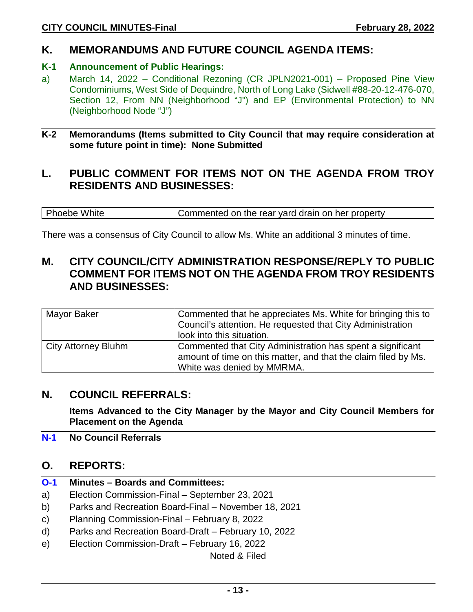# **K. MEMORANDUMS AND FUTURE COUNCIL AGENDA ITEMS:**

# **K-1 Announcement of Public Hearings:**

a) March 14, 2022 – Conditional Rezoning (CR JPLN2021-001) – Proposed Pine View Condominiums, West Side of Dequindre, North of Long Lake (Sidwell #88-20-12-476-070, Section 12, From NN (Neighborhood "J") and EP (Environmental Protection) to NN (Neighborhood Node "J")

### **K-2 Memorandums (Items submitted to City Council that may require consideration at some future point in time): None Submitted**

# **L. PUBLIC COMMENT FOR ITEMS NOT ON THE AGENDA FROM TROY RESIDENTS AND BUSINESSES:**

Phoebe White Commented on the rear yard drain on her property

There was a consensus of City Council to allow Ms. White an additional 3 minutes of time.

# **M. CITY COUNCIL/CITY ADMINISTRATION RESPONSE/REPLY TO PUBLIC COMMENT FOR ITEMS NOT ON THE AGENDA FROM TROY RESIDENTS AND BUSINESSES:**

| Mayor Baker                | Commented that he appreciates Ms. White for bringing this to<br>Council's attention. He requested that City Administration<br>look into this situation.    |
|----------------------------|------------------------------------------------------------------------------------------------------------------------------------------------------------|
| <b>City Attorney Bluhm</b> | Commented that City Administration has spent a significant<br>amount of time on this matter, and that the claim filed by Ms.<br>White was denied by MMRMA. |

# **N. COUNCIL REFERRALS:**

**Items Advanced to the City Manager by the Mayor and City Council Members for Placement on the Agenda**

**N-1 No Council Referrals**

# **O. REPORTS:**

- **O-1 Minutes – Boards and Committees:**
- a) Election Commission-Final September 23, 2021
- b) Parks and Recreation Board-Final November 18, 2021
- c) Planning Commission-Final February 8, 2022
- d) Parks and Recreation Board-Draft February 10, 2022
- e) Election Commission-Draft February 16, 2022

Noted & Filed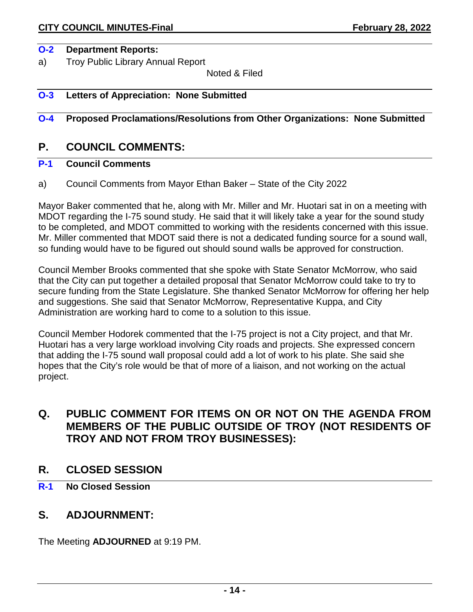#### **O-2 Department Reports:**

a) Troy Public Library Annual Report

Noted & Filed

#### **O-3 Letters of Appreciation: None Submitted**

### **O-4 Proposed Proclamations/Resolutions from Other Organizations: None Submitted**

# **P. COUNCIL COMMENTS:**

## **P-1 Council Comments**

a) Council Comments from Mayor Ethan Baker – State of the City 2022

Mayor Baker commented that he, along with Mr. Miller and Mr. Huotari sat in on a meeting with MDOT regarding the I-75 sound study. He said that it will likely take a year for the sound study to be completed, and MDOT committed to working with the residents concerned with this issue. Mr. Miller commented that MDOT said there is not a dedicated funding source for a sound wall, so funding would have to be figured out should sound walls be approved for construction.

Council Member Brooks commented that she spoke with State Senator McMorrow, who said that the City can put together a detailed proposal that Senator McMorrow could take to try to secure funding from the State Legislature. She thanked Senator McMorrow for offering her help and suggestions. She said that Senator McMorrow, Representative Kuppa, and City Administration are working hard to come to a solution to this issue.

Council Member Hodorek commented that the I-75 project is not a City project, and that Mr. Huotari has a very large workload involving City roads and projects. She expressed concern that adding the I-75 sound wall proposal could add a lot of work to his plate. She said she hopes that the City's role would be that of more of a liaison, and not working on the actual project.

# **Q. PUBLIC COMMENT FOR ITEMS ON OR NOT ON THE AGENDA FROM MEMBERS OF THE PUBLIC OUTSIDE OF TROY (NOT RESIDENTS OF TROY AND NOT FROM TROY BUSINESSES):**

## **R. CLOSED SESSION**

**R-1 No Closed Session**

# **S. ADJOURNMENT:**

The Meeting **ADJOURNED** at 9:19 PM.